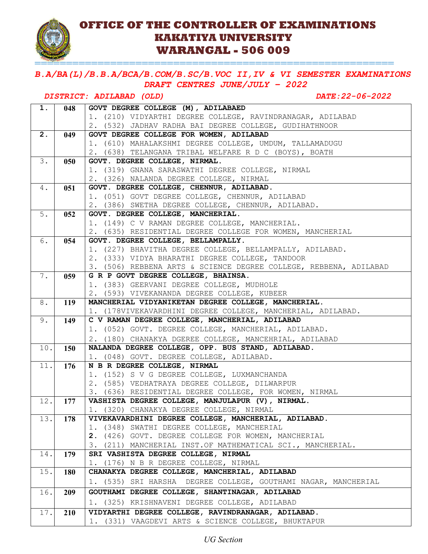

### **OFFICE OF THE CONTROLLER OF EXAMINATIONS KAKATIYA UNIVERSITY WARANGAL - 506 009**

=========================================================

### *B.A/BA(L)/B.B.A/BCA/B.COM/B.SC/B.VOC II,IV & VI SEMESTER EXAMINATIONS DRAFT CENTRES JUNE/JULY – 2022*

# *DISTRICT: ADILABAD (OLD) DATE:22-06-2022*

| 1.  | 048        | GOVT DEGREE COLLEGE (M), ADILABAED                                                               |
|-----|------------|--------------------------------------------------------------------------------------------------|
|     |            | 1. (210) VIDYARTHI DEGREE COLLEGE, RAVINDRANAGAR, ADILABAD                                       |
|     |            | 2. (532) JADHAV RADHA BAI DEGREE COLLEGE, GUDIHATHNOOR                                           |
| 2.  | 049        | GOVT DEGREE COLLEGE FOR WOMEN, ADILABAD                                                          |
|     |            | 1. (610) MAHALAKSHMI DEGREE COLLEGE, UMDUM, TALLAMADUGU                                          |
|     |            | 2. (638) TELANGANA TRIBAL WELFARE R D C (BOYS), BOATH                                            |
| 3.  | 050        | GOVT. DEGREE COLLEGE, NIRMAL.                                                                    |
|     |            | 1. (319) GNANA SARASWATHI DEGREE COLLEGE, NIRMAL                                                 |
|     |            | 2. (326) NALANDA DEGREE COLLEGE, NIRMAL                                                          |
| 4.  | 051        | GOVT. DEGREE COLLEGE, CHENNUR, ADILABAD.                                                         |
|     |            | 1. (051) GOVT DEGREE COLLEGE, CHENNUR, ADILABAD                                                  |
|     |            | 2. (386) SWETHA DEGREE COLLEGE, CHENNUR, ADILABAD.                                               |
| 5.  | 052        | GOVT. DEGREE COLLEGE, MANCHERIAL.                                                                |
|     |            | 1. (149) C V RAMAN DEGREE COLLEGE, MANCHERIAL.                                                   |
|     |            | 2. (635) RESIDENTIAL DEGREE COLLEGE FOR WOMEN, MANCHERIAL                                        |
| 6.  | 054        | GOVT. DEGREE COLLEGE, BELLAMPALLY.                                                               |
|     |            | 1. (227) BHAVITHA DEGREE COLLEGE, BELLAMPALLY, ADILABAD.                                         |
|     |            | 2. (333) VIDYA BHARATHI DEGREE COLLEGE, TANDOOR                                                  |
|     |            | 3. (506) REBBENA ARTS & SCIENCE DEGREE COLLEGE, REBBENA, ADILABAD                                |
| 7.  | 059        | G R P GOVT DEGREE COLLEGE, BHAINSA.                                                              |
|     |            | 1. (383) GEERVANI DEGREE COLLEGE, MUDHOLE                                                        |
|     |            | 2. (593) VIVEKANANDA DEGREE COLLEGE, KUBEER                                                      |
| 8.  | <b>119</b> | MANCHERIAL VIDYANIKETAN DEGREE COLLEGE, MANCHERIAL.                                              |
|     |            | 1. (178VIVEKAVARDHINI DEGREE COLLEGE, MANCHERIAL, ADILABAD.                                      |
| 9.  | 149        | C V RAMAN DEGREE COLLEGE, MANCHERIAL, ADILABAD                                                   |
|     |            | 1. (052) GOVT. DEGREE COLLEGE, MANCHERIAL, ADILABAD.                                             |
|     |            | 2. (180) CHANAKYA DGEREE COLLEGE, MANCEHRIAL, ADILABAD                                           |
| 10. | 150        | NALANDA DEGREE COLLEGE, OPP. BUS STAND, ADILABAD.                                                |
|     |            | 1. (048) GOVT. DEGREE COLLEGE, ADILABAD.                                                         |
| 11. | 176        | N B R DEGREE COLLEGE, NIRMAL                                                                     |
|     |            | 1. (152) S V G DEGREE COLLEGE, LUXMANCHANDA                                                      |
|     |            | 2. (585) VEDHATRAYA DEGREE COLLEGE, DILWARPUR                                                    |
|     |            | 3. (636) RESIDENTIAL DEGREE COLLEGE, FOR WOMEN, NIRMAL                                           |
| 12. | 177        | VASHISTA DEGREE COLLEGE, MANJULAPUR (V), NIRMAL.                                                 |
| 13. |            | 1. (320) CHANAKYA DEGREE COLLEGE, NIRMAL<br>VIVEKAVARDHINI DEGREE COLLEGE, MANCHERIAL, ADILABAD. |
|     | 178        | 1. (348) SWATHI DEGREE COLLEGE, MANCHERIAL                                                       |
|     |            | 2. (426) GOVT. DEGREE COLLEGE FOR WOMEN, MANCHERIAL                                              |
|     |            | 3. (211) MANCHERIAL INST. OF MATHEMATICAL SCI., MANCHERIAL.                                      |
| 14. | 179        | SRI VASHISTA DEGREE COLLEGE, NIRMAL                                                              |
|     |            | 1. (176) N B R DEGREE COLLEGE, NIRMAL                                                            |
| 15. | <b>180</b> | CHANAKYA DEGREE COLLEGE, MANCHERIAL, ADILABAD                                                    |
|     |            | 1. (535) SRI HARSHA DEGREE COLLEGE, GOUTHAMI NAGAR, MANCHERIAL                                   |
|     |            |                                                                                                  |
| 16. | 209        | GOUTHAMI DEGREE COLLEGE, SHANTINAGAR, ADILABAD                                                   |
|     |            | 1. (325) KRISHNAVENI DEGREE COLLEGE, ADILABAD                                                    |
| 17. | 210        | VIDYARTHI DEGREE COLLEGE, RAVINDRANAGAR, ADILABAD.                                               |
|     |            | 1. (331) VAAGDEVI ARTS & SCIENCE COLLEGE, BHUKTAPUR                                              |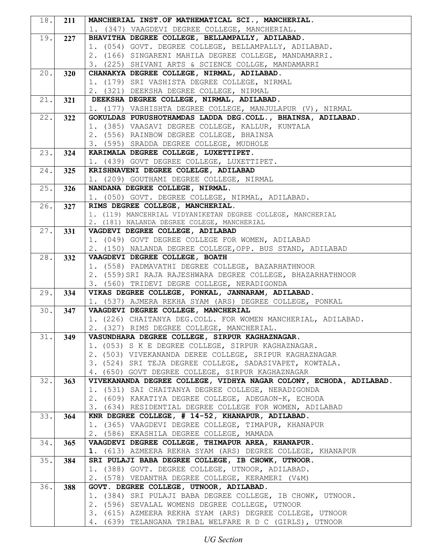| 18.  | 211 | MANCHERIAL INST.OF MATHEMATICAL SCI., MANCHERIAL.                  |
|------|-----|--------------------------------------------------------------------|
|      |     | 1. (347) VAAGDEVI DEGREE COLLEGE, MANCHERIAL.                      |
| 19.  | 227 | BHAVITHA DEGREE COLLEGE, BELLAMPALLY, ADILABAD.                    |
|      |     | 1. (054) GOVT. DEGREE COLLEGE, BELLAMPALLY, ADILABAD.              |
|      |     | 2. (166) SINGARENI MAHILA DEGREE COLLEGE, MANDAMARRI.              |
|      |     | 3. (225) SHIVANI ARTS & SCIENCE COLLGE, MANDAMARRI                 |
| 20.1 | 320 | CHANAKYA DEGREE COLLEGE, NIRMAL, ADILABAD.                         |
|      |     | 1. (179) SRI VASHISTA DEGREE COLLEGE, NIRMAL                       |
|      |     | 2. (321) DEEKSHA DEGREE COLLEGE, NIRMAL                            |
| 21.  | 321 | DEEKSHA DEGREE COLLEGE, NIRMAL, ADILABAD.                          |
|      |     | 1. (177) VASHISHTA DEGREE COLLEGE, MANJULAPUR (V), NIRMAL          |
| 22.  | 322 | GOKULDAS PURUSHOTHAMDAS LADDA DEG.COLL., BHAINSA, ADILABAD.        |
|      |     | 1. (385) VAASAVI DEGREE COLLEGE, KALLUR, KUNTALA                   |
|      |     | 2. (556) RAINBOW DEGREE COLLEGE, BHAINSA                           |
|      |     | 3. (595) SRADDA DEGREE COLLEGE, MUDHOLE                            |
| 23.  | 324 | KARIMALA DEGREE COLLEGE, LUXETTIPET.                               |
|      |     | 1. (439) GOVT DEGREE COLLEGE, LUXETTIPET.                          |
| 24.  | 325 | KRISHNAVENI DEGREE COLELGE, ADILABAD                               |
|      |     | 1. (209) GOUTHAMI DEGREE COLLEGE, NIRMAL                           |
| 25.  | 326 | NANDANA DEGREE COLLEGE, NIRMAL.                                    |
|      |     | 1. (050) GOVT. DEGREE COLLEGE, NIRMAL, ADILABAD.                   |
| 26.  | 327 | RIMS DEGREE COLLEGE, MANCHERIAL.                                   |
|      |     | 1. (119) MANCEHRIAL VIDYANIKETAN DEGREE COLLEGE, MANCHERIAL        |
|      |     | 2. (181) NALANDA DEGREE COLEGE, MANCHERIAL                         |
| 27.  | 331 | VAGDEVI DEGREE COLLEGE, ADILABAD                                   |
|      |     | 1. (049) GOVT DEGREE COLLEGE FOR WOMEN, ADILABAD                   |
|      |     | 2. (150) NALANDA DEGREE COLLEGE, OPP. BUS STAND, ADILABAD          |
| 28.  | 332 | VAAGDEVI DEGREE COLLEGE, BOATH                                     |
|      |     | 1. (558) PADMAVATHI DEGREE COLLEGE, BAZARHATHNOOR                  |
|      |     | 2. (559) SRI RAJA RAJESHWARA DEGREE COLLEGE, BHAZARHATHNOOR        |
|      |     | 3. (560) TRIDEVI DEGRE COLLEGE, NERADIGONDA                        |
| 29.  | 334 | VIKAS DEGREE COLLEGE, PONKAL, JANNARAM, ADILABAD.                  |
|      |     | 1. (537) AJMERA REKHA SYAM (ARS) DEGREE COLLEGE, PONKAL            |
| 30.1 | 347 | VAAGDEVI DEGREE COLLEGE, MANCHERIAL                                |
|      |     | 1. (226) CHAITANYA DEG.COLL. FOR WOMEN MANCHERIAL, ADILABAD.       |
|      |     | 2. (327) RIMS DEGREE COLLEGE, MANCHERIAL.                          |
| 31.  | 349 | VASUNDHARA DEGREE COLLEGE, SIRPUR KAGHAZNAGAR.                     |
|      |     | 1. (053) S K E DEGREE COLLEGE, SIRPUR KAGHAZNAGAR.                 |
|      |     | 2. (503) VIVEKANANDA DEREE COLLEGE, SRIPUR KAGHAZNAGAR             |
|      |     | 3. (524) SRI TEJA DEGREE COLLEGE, SADASIVAPET, KOWTALA.            |
|      |     | 4. (650) GOVT DEGREE COLLEGE, SIRPUR KAGHAZNAGAR                   |
| 32.  | 363 | VIVEKANANDA DEGREE COLLEGE, VIDHYA NAGAR COLONY, ECHODA, ADILABAD. |
|      |     | 1. (531) SAI CHAITANYA DEGREE COLLEGE, NERADIGONDA                 |
|      |     | 2. (609) KAKATIYA DEGREE COLLEGE, ADEGAON-K, ECHODA                |
|      |     | 3. (634) RESIDENTIAL DEGREE COLLEGE FOR WOMEN, ADILABAD            |
| 33.  | 364 | KNR DEGREE COLLEGE, # 14-52, KHANAPUR, ADILABAD.                   |
|      |     | 1. (365) VAAGDEVI DEGREE COLLEGE, TIMAPUR, KHANAPUR                |
|      |     | 2. (586) EKASHILA DEGREE COLLEGE, MAMADA                           |
| 34.  | 365 | VAAGDEVI DEGREE COLLEGE, THIMAPUR AREA, KHANAPUR.                  |
|      |     | 1. (613) AZMEERA REKHA SYAM (ARS) DEGREE COLLEGE, KHANAPUR         |
| 35.  | 384 | SRI PULAJI BABA DEGREE COLLEGE, IB CHOWK, UTNOOR.                  |
|      |     | 1. (388) GOVT. DEGREE COLLEGE, UTNOOR, ADILABAD.                   |
|      |     | 2. (578) VEDANTHA DEGREE COLLEGE, KERAMERI (V&M)                   |
| 36.  | 388 | GOVT. DEGREE COLLEGE, UTNOOR, ADILABAD.                            |
|      |     | 1. (384) SRI PULAJI BABA DEGREE COLLEGE, IB CHOWK, UTNOOR.         |
|      |     | 2. (596) SEVALAL WOMENS DEGREE COLLEGE, UTNOOR                     |
|      |     | 3. (615) AZMEERA REKHA SYAM (ARS) DEGREE COLLEGE, UTNOOR           |
|      |     | 4. (639) TELANGANA TRIBAL WELFARE R D C (GIRLS), UTNOOR            |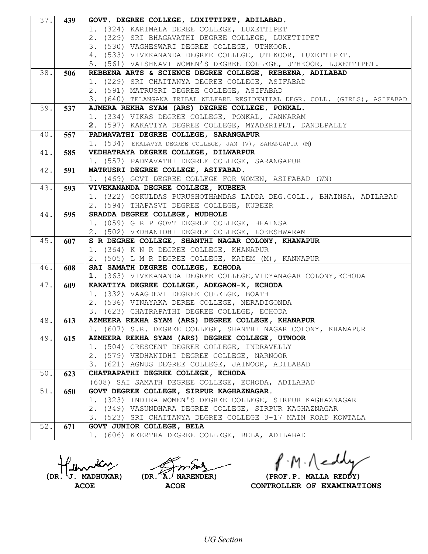| 37.1 | 439 | GOVT. DEGREE COLLEGE, LUXITTIPET, ADILABAD.                                                                                    |
|------|-----|--------------------------------------------------------------------------------------------------------------------------------|
|      |     | 1. (324) KARIMALA DEREE COLLEGE, LUXETTIPET                                                                                    |
|      |     | 2. (329) SRI BHAGAVATHI DEGREE COLLEGE, LUXETTIPET                                                                             |
|      |     | 3. (530) VAGHESWARI DEGREE COLLEGE, UTHKOOR.                                                                                   |
|      |     | 4. (533) VIVEKANANDA DEGREE COLLEGE, UTHKOOR, LUXETTIPET.                                                                      |
|      |     | 5. (561) VAISHNAVI WOMEN'S DEGREE COLLEGE, UTHKOOR, LUXETTIPET.                                                                |
| 38.  | 506 | REBBENA ARTS & SCIENCE DEGREE COLLEGE, REBBENA, ADILABAD                                                                       |
|      |     | 1. (229) SRI CHAITANYA DEGREE COLLEGE, ASIFABAD                                                                                |
|      |     | 2. (591) MATRUSRI DEGREE COLLEGE, ASIFABAD                                                                                     |
| 39.  |     | 3. (640) TELANGANA TRIBAL WELFARE RESIDENTIAL DEGR. COLL. (GIRLS), ASIFABAD<br>AJMERA REKHA SYAM (ARS) DEGREE COLLEGE, PONKAL. |
|      | 537 | 1. (334) VIKAS DEGREE COLLEGE, PONKAL, JANNARAM                                                                                |
|      |     | 2. (597) KAKATIYA DEGREE COLLEGE, MYADERIPET, DANDEPALLY                                                                       |
| 40.  | 557 | PADMAVATHI DEGREE COLLEGE, SARANGAPUR                                                                                          |
|      |     | 1. (534) EKALAVYA DEGREE COLLEGE, JAM (V), SARANGAPUR (M)                                                                      |
| 41.  | 585 | VEDHATRAYA DEGREE COLLEGE, DILWARPUR                                                                                           |
|      |     | 1. (557) PADMAVATHI DEGREE COLLEGE, SARANGAPUR                                                                                 |
| 42.  | 591 | MATRUSRI DEGREE COLLEGE, ASIFABAD.                                                                                             |
|      |     | 1. (469) GOVT DEGREE COLLEGE FOR WOMEN, ASIFABAD (WN)                                                                          |
| 43.  | 593 | VIVEKANANDA DEGREE COLLEGE, KUBEER                                                                                             |
|      |     | 1. (322) GOKULDAS PURUSHOTHAMDAS LADDA DEG.COLL., BHAINSA, ADILABAD                                                            |
|      |     | 2. (594) THAPASVI DEGREE COLLEGE, KUBEER                                                                                       |
| 44.  | 595 | SRADDA DEGREE COLLEGE, MUDHOLE                                                                                                 |
|      |     | 1. (059) G R P GOVT DEGREE COLLEGE, BHAINSA                                                                                    |
|      |     | 2. (502) VEDHANIDHI DEGREE COLLEGE, LOKESHWARAM                                                                                |
| 45.  | 607 | S R DEGREE COLLEGE, SHANTHI NAGAR COLONY, KHANAPUR                                                                             |
|      |     | 1. (364) K N R DEGREE COLLEGE, KHANAPUR                                                                                        |
|      |     | 2. (505) L M R DEGREE COLLEGE, KADEM (M), KANNAPUR                                                                             |
| 46.  | 608 | SAI SAMATH DEGREE COLLEGE, ECHODA                                                                                              |
|      |     | 1. (363) VIVEKANANDA DEGREE COLLEGE, VIDYANAGAR COLONY, ECHODA                                                                 |
| 47.  | 609 | KAKATIYA DEGREE COLLEGE, ADEGAON-K, ECHODA<br>1. (332) VAAGDEVI DEGREE COLELGE, BOATH                                          |
|      |     | 2. (536) VINAYAKA DEREE COLLEGE, NERADIGONDA                                                                                   |
|      |     | 3. (623) CHATRAPATHI DEGREE COLLEGE, ECHODA                                                                                    |
| 48.  | 613 | AZMEERA REKHA SYAM (ARS) DEGREE COLLEGE, KHANAPUR                                                                              |
|      |     | 1. (607) S.R. DEGREE COLLEGE, SHANTHI NAGAR COLONY, KHANAPUR                                                                   |
| 49.  | 615 | AZMEERA REKHA SYAM (ARS) DEGREE COLLEGE, UTNOOR                                                                                |
|      |     | 1. (504) CRESCENT DEGREE COLLEGE, INDRAVELLY                                                                                   |
|      |     | 2. (579) VEDHANIDHI DEGREE COLLEGE, NARNOOR                                                                                    |
|      |     | 3. (621) AGNUS DEGREE COLLEGE, JAINOOR, ADILABAD                                                                               |
| 50.  | 623 | CHATRAPATHI DEGREE COLLEGE, ECHODA                                                                                             |
|      |     | (608) SAI SAMATH DEGREE COLLEGE, ECHODA, ADILABAD                                                                              |
| 51.  | 650 | GOVT DEGREE COLLEGE, SIRPUR KAGHAZNAGAR.                                                                                       |
|      |     | 1. (323) INDIRA WOMEN'S DEGREE COLLEGE, SIRPUR KAGHAZNAGAR                                                                     |
|      |     | 2. (349) VASUNDHARA DEGREE COLLEGE, SIRPUR KAGHAZNAGAR                                                                         |
|      |     | 3. (523) SRI CHAITANYA DEGREE COLLEGE 3-17 MAIN ROAD KOWTALA                                                                   |
| 52.  | 671 | GOVT JUNIOR COLLEGE, BELA                                                                                                      |
|      |     | 1. (606) KEERTHA DEGREE COLLEGE, BELA, ADILABAD                                                                                |

 $f \cdot M \cdot \bigwedge$ ed

(DR. J. MADHUKAR) (DR. A. NARENDER) (PROF.P. MALLA REDDY)<br>ACOE ACOE **ACOE** CONTROLLER OF EXAMINAT **CONTROLLER OF EXAMINATIONS**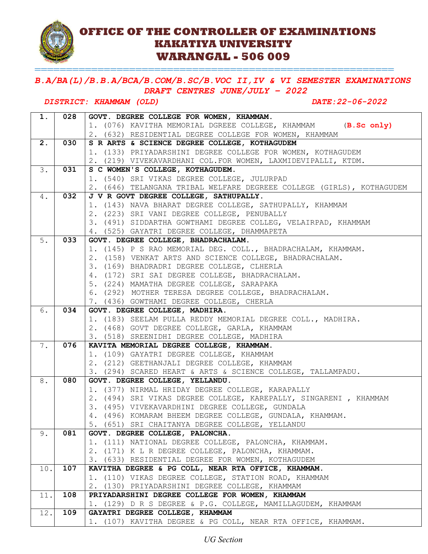## **OFFICE OF THE CONTROLLER OF EXAMINATIONS KAKATIYA UNIVERSITY WARANGAL - 506 009**

#### *B.A/BA(L)/B.B.A/BCA/B.COM/B.SC/B.VOC II,IV & VI SEMESTER EXAMINATIONS DRAFT CENTRES JUNE/JULY – 2022*

=========================================================

#### *DISTRICT: KHAMMAM (OLD) DATE:22-06-2022*

| 1.    | 028 | GOVT. DEGREE COLLEGE FOR WOMEN, KHAMMAM.                                               |
|-------|-----|----------------------------------------------------------------------------------------|
|       |     | 1. (076) KAVITHA MEMORIAL DGREEE COLLEGE, KHAMMAM (B.Sc only)                          |
|       |     | 2. (632) RESIDENTIAL DEGREE COLLEGE FOR WOMEN, KHAMMAM                                 |
| 2.    | 030 | S R ARTS & SCIENCE DEGREE COLLEGE, KOTHAGUDEM                                          |
|       |     | 1. (133) PRIYADARSHINI DEGREE COLLEGE FOR WOMEN, KOTHAGUDEM                            |
|       |     | 2. (219) VIVEKAVARDHANI COL.FOR WOMEN, LAXMIDEVIPALLI, KTDM.                           |
| 3.    | 031 | S C WOMEN'S COLLEGE, KOTHAGUDEM.                                                       |
|       |     | 1. (540) SRI VIKAS DEGREE COLLEGE, JULURPAD                                            |
|       |     | 2. (646) TELANGANA TRIBAL WELFARE DEGREEE COLLEGE (GIRLS), KOTHAGUDEM                  |
| $4$ . | 032 | J V R GOVT DEGREE COLLEGE, SATHUPALLY.                                                 |
|       |     | 1. (143) NAVA BHARAT DEGREE COLLEGE, SATHUPALLY, KHAMMAM                               |
|       |     | 2. (223) SRI VANI DEGREE COLLEGE, PENUBALLY                                            |
|       |     | 3. (491) SIDDARTHA GOWTHAMI DEGREE COLLEG, VELAIRPAD, KHAMMAM                          |
|       |     | 4. (525) GAYATRI DEGREE COLLEGE, DHAMMAPETA                                            |
| 5.    | 033 | GOVT. DEGREE COLLEGE, BHADRACHALAM.                                                    |
|       |     | 1. (145) P S RAO MEMORIAL DEG. COLL., BHADRACHALAM, KHAMMAM.                           |
|       |     | 2. (158) VENKAT ARTS AND SCIENCE COLLEGE, BHADRACHALAM.                                |
|       |     | 3. (169) BHADRADRI DEGREE COLLEGE, CLHERLA                                             |
|       |     | 4. (172) SRI SAI DEGREE COLLEGE, BHADRACHALAM.                                         |
|       |     | 5. (224) MAMATHA DEGREE COLLEGE, SARAPAKA                                              |
|       |     | 6. (292) MOTHER TERESA DEGREE COLLEGE, BHADRACHALAM.                                   |
|       |     | 7. (436) GOWTHAMI DEGREE COLLEGE, CHERLA                                               |
| 6.    | 034 | GOVT. DEGREE COLLEGE, MADHIRA.                                                         |
|       |     | 1. (183) SEELAM PULLA REDDY MEMORIAL DEGREE COLL., MADHIRA.                            |
|       |     | 2. (468) GOVT DEGREE COLLEGE, GARLA, KHAMMAM                                           |
| 7.    | 076 | 3. (518) SREENIDHI DEGREE COLLEGE, MADHIRA<br>KAVITA MEMORIAL DEGREE COLLEGE, KHAMMAM. |
|       |     | 1. (109) GAYATRI DEGREE COLLEGE, KHAMMAM                                               |
|       |     | 2. (212) GEETHANJALI DEGREE COLLEGE, KHAMMAM                                           |
|       |     | 3. (294) SCARED HEART & ARTS & SCIENCE COLLEGE, TALLAMPADU.                            |
| 8.    | 080 | GOVT. DEGREE COLLEGE, YELLANDU.                                                        |
|       |     | 1. (377) NIRMAL HRIDAY DEGREE COLLEGE, KARAPALLY                                       |
|       |     | 2. (494) SRI VIKAS DEGREE COLLEGE, KAREPALLY, SINGARENI, KHAMMAM                       |
|       |     | 3. (495) VIVEKAVARDHINI DEGREE COLLEGE, GUNDALA                                        |
|       |     | 4. (496) KOMARAM BHEEM DEGREE COLLEGE, GUNDALA, KHAMMAM.                               |
|       |     | 5. (651) SRI CHAITANYA DEGREE COLLEGE, YELLANDU                                        |
| 9.    | 081 | GOVT. DEGREE COLLEGE, PALONCHA.                                                        |
|       |     | 1. (111) NATIONAL DEGREE COLLEGE, PALONCHA, KHAMMAM.                                   |
|       |     | 2. (171) K L R DEGREE COLLEGE, PALONCHA, KHAMMAM.                                      |
|       |     | 3. (633) RESIDENTIAL DEGREE FOR WOMEN, KOTHAGUDEM                                      |
| 10.   | 107 | KAVITHA DEGREE & PG COLL, NEAR RTA OFFICE, KHAMMAM.                                    |
|       |     | 1. (110) VIKAS DEGREE COLLEGE, STATION ROAD, KHAMMAM                                   |
|       |     | 2. (130) PRIYADARSHINI DEGREE COLLEGE, KHAMMAM                                         |
| 11.   | 108 | PRIYADARSHINI DEGREE COLLEGE FOR WOMEN, KHAMMAM                                        |
|       |     | 1. (129) D R S DEGREE & P.G. COLLEGE, MAMILLAGUDEM, KHAMMAM                            |
| 12.   | 109 | GAYATRI DEGREE COLLEGE, KHAMMAM                                                        |
|       |     | 1. (107) KAVITHA DEGREE & PG COLL, NEAR RTA OFFICE, KHAMMAM.                           |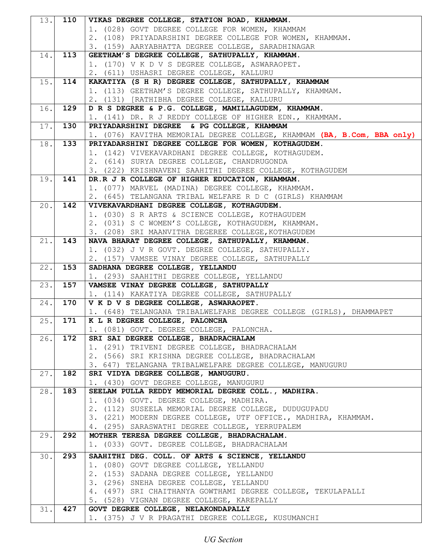| 13. | 110 | VIKAS DEGREE COLLEGE, STATION ROAD, KHAMMAM.                                                                     |
|-----|-----|------------------------------------------------------------------------------------------------------------------|
|     |     | 1. (028) GOVT DEGREE COLLEGE FOR WOMEN, KHAMMAM                                                                  |
|     |     | 2. (108) PRIYADARSHINI DEGREE COLLEGE FOR WOMEN, KHAMMAM.                                                        |
|     |     | 3. (159) AARYABHATTA DEGREE COLLEGE, SARADHINAGAR                                                                |
| 14. | 113 | GEETHAM'S DEGREE COLLEGE, SATHUPALLY, KHAMMAM.                                                                   |
|     |     | 1. (170) V K D V S DEGREE COLLEGE, ASWARAOPET.                                                                   |
|     |     | 2. (611) USHASRI DEGREE COLLEGE, KALLURU                                                                         |
| 15. | 114 | KAKATIYA (S H R) DEGREE COLLEGE, SATHUPALLY, KHAMMAM<br>1. (113) GEETHAM'S DEGREE COLLEGE, SATHUPALLY, KHAMMAM.  |
|     |     | 2. (131) [RATHIBHA DEGREE COLLEGE, KALLURU                                                                       |
| 16. | 129 | D R S DEGREE & P.G. COLLEGE, MAMILLAGUDEM, KHAMMAM.                                                              |
|     |     | 1. (141) DR. R J REDDY COLLEGE OF HIGHER EDN., KHAMMAM.                                                          |
| 17. | 130 | PRIYADARSHINI DEGREE & PG COLLEGE, KHAMMAM                                                                       |
|     |     | 1. (076) KAVITHA MEMORIAL DEGREE COLLEGE, KHAMMAM (BA, B.Com, BBA only)                                          |
| 18. | 133 | PRIYADARSHINI DEGREE COLLEGE FOR WOMEN, KOTHAGUDEM.                                                              |
|     |     | 1. (142) VIVEKAVARDHANI DEGREE COLLEGE, KOTHAGUDEM.                                                              |
|     |     | 2. (614) SURYA DEGREE COLLEGE, CHANDRUGONDA                                                                      |
|     |     | 3. (222) KRISHNAVENI SAAHITHI DEGREE COLLEGE, KOTHAGUDEM                                                         |
| 19. | 141 | DR.R J R COLLEGE OF HIGHER EDUCATION, KHAMMAM.                                                                   |
|     |     | 1. (077) MARVEL (MADINA) DEGREE COLLEGE, KHAMMAM.                                                                |
| 20. | 142 | 2. (645) TELANGANA TRIBAL WELFARE R D C (GIRLS) KHAMMAM<br>VIVEKAVARDHANI DEGREE COLLEGE, KOTHAGUDEM.            |
|     |     | 1. (030) S R ARTS & SCIENCE COLLEGE, KOTHAGUDEM                                                                  |
|     |     | 2. (031) S C WOMEN'S COLLEGE, KOTHAGUDEM, KHAMMAM.                                                               |
|     |     | 3. (208) SRI MAANVITHA DEGEREE COLLEGE, KOTHAGUDEM                                                               |
| 21. | 143 | NAVA BHARAT DEGREE COLLEGE, SATHUPALLY, KHAMMAM.                                                                 |
|     |     | 1. (032) J V R GOVT. DEGREE COLLEGE, SATHUPALLY.                                                                 |
|     |     | 2. (157) VAMSEE VINAY DEGREE COLLEGE, SATHUPALLY                                                                 |
| 22. | 153 | SADHANA DEGREE COLLEGE, YELLANDU                                                                                 |
|     |     | 1. (293) SAAHITHI DEGREE COLLEGE, YELLANDU                                                                       |
| 23. | 157 | VAMSEE VINAY DEGREE COLLEGE, SATHUPALLY                                                                          |
|     |     | 1. (114) KAKATIYA DEGREE COLLEGE, SATHUPALLY                                                                     |
| 24. | 170 | V K D V S DEGREE COLLEGE, ASWARAOPET.                                                                            |
| 25. | 171 | 1. (648) TELANGANA TRIBALWELFARE DEGREE COLLEGE (GIRLS), DHAMMAPET<br>K L R DEGREE COLLEGE, PALONCHA             |
|     |     | 1. (081) GOVT. DEGREE COLLEGE, PALONCHA.                                                                         |
| 26. | 172 | SRI SAI DEGREE COLLEGE, BHADRACHALAM                                                                             |
|     |     | 1. (291) TRIVENI DEGREE COLLEGE, BHADRACHALAM                                                                    |
|     |     | 2. (566) SRI KRISHNA DEGREE COLLEGE, BHADRACHALAM                                                                |
|     |     | 3. 647) TELANGANA TRIBALWELFARE DEGREE COLLEGE, MANUGURU                                                         |
| 27. | 182 | SRI VIDYA DEGREE COLLEGE, MANUGURU.                                                                              |
|     |     | 1. (430) GOVT DEGREE COLLEGE, MANUGURU                                                                           |
| 28. | 183 | SEELAM PULLA REDDY MEMORIAL DEGREE COLL., MADHIRA.                                                               |
|     |     | 1. (034) GOVT. DEGREE COLLEGE, MADHIRA.                                                                          |
|     |     | 2. (112) SUSEELA MEMORIAL DEGREE COLLEGE, DUDUGUPADU                                                             |
|     |     | 3. (221) MODERN DEGREE COLLEGE, UTF OFFICE., MADHIRA, KHAMMAM.<br>4. (295) SARASWATHI DEGREE COLLEGE, YERRUPALEM |
| 29. | 292 | MOTHER TERESA DEGREE COLLEGE, BHADRACHALAM.                                                                      |
|     |     | 1. (033) GOVT. DEGREE COLLEGE, BHADRACHALAM                                                                      |
|     | 293 |                                                                                                                  |
| 30. |     | SAAHITHI DEG. COLL. OF ARTS & SCIENCE, YELLANDU<br>1. (080) GOVT DEGREE COLLEGE, YELLANDU                        |
|     |     | 2. (153) SADANA DEGREE COLLEGE, YELLANDU                                                                         |
|     |     | 3. (296) SNEHA DEGREE COLLEGE, YELLANDU                                                                          |
|     |     | 4. (497) SRI CHAITHANYA GOWTHAMI DEGREE COLLEGE, TEKULAPALLI                                                     |
|     |     | 5. (528) VIGNAN DEGREE COLLEGE, KAREPALLY                                                                        |
| 31. | 427 | GOVT DEGREE COLLEGE, NELAKONDAPALLY                                                                              |
|     |     | 1. (375) J V R PRAGATHI DEGREE COLLEGE, KUSUMANCHI                                                               |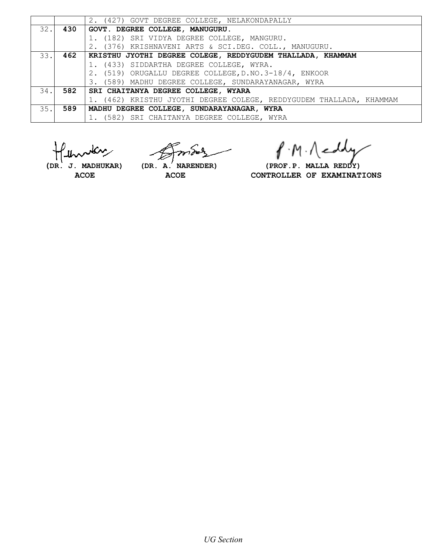|      |     | 2. (427) GOVT DEGREE COLLEGE, NELAKONDAPALLY                        |
|------|-----|---------------------------------------------------------------------|
| 32.1 | 430 | GOVT. DEGREE COLLEGE, MANUGURU.                                     |
|      |     | 1. (182) SRI VIDYA DEGREE COLLEGE, MANGURU.                         |
|      |     | 2. (376) KRISHNAVENI ARTS & SCI.DEG. COLL., MANUGURU.               |
| 33.1 | 462 | KRISTHU JYOTHI DEGREE COLEGE, REDDYGUDEM THALLADA, KHAMMAM          |
|      |     | 1. (433) SIDDARTHA DEGREE COLLEGE, WYRA.                            |
|      |     | 2. (519) ORUGALLU DEGREE COLLEGE, D.NO.3-18/4, ENKOOR               |
|      |     | 3. (589) MADHU DEGREE COLLEGE, SUNDARAYANAGAR, WYRA                 |
| 34.1 |     | 582   SRI CHAITANYA DEGREE COLLEGE, WYARA                           |
|      |     | 1. (462) KRISTHU JYOTHI DEGREE COLEGE, REDDYGUDEM THALLADA, KHAMMAM |
| 35.1 | 589 | MADHU DEGREE COLLEGE, SUNDARAYANAGAR, WYRA                          |
|      |     | 1. (582) SRI CHAITANYA DEGREE COLLEGE, WYRA                         |

P.M. Neddy

 **(DR. J. MADHUKAR) (DR. A. NARENDER) (PROF.P. MALLA REDDY)** ACOE ACOE **ACOE** CONTROLLER OF EXAMINATIONS

*UG Section*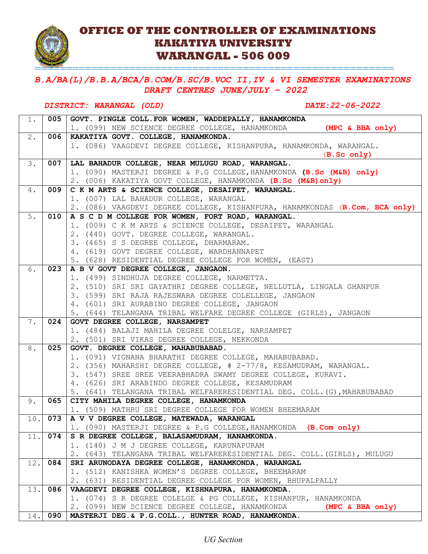

## **OFFICE OF THE CONTROLLER OF EXAMINATIONS KAKATIYA UNIVERSITY WARANGAL - 506 009**

### *B.A/BA(L)/B.B.A/BCA/B.COM/B.SC/B.VOC II,IV & VI SEMESTER EXAMINATIONS DRAFT CENTRES JUNE/JULY – 2022*

#### *DISTRICT: WARANGAL (OLD) DATE:22-06-2022*

=========================================================

| $1$ .            | 005 | GOVT. PINGLE COLL. FOR WOMEN, WADDEPALLY, HANAMKONDA                               |
|------------------|-----|------------------------------------------------------------------------------------|
|                  |     | 1. (099) NEW SCIENCE DEGREE COLLEGE, HANAMKONDA<br>(MPC & BBA only)                |
| 2.               | 006 | KAKATIYA GOVT. COLLEGE, HANAMKONDA.                                                |
|                  |     | 1. (086) VAAGDEVI DEGREE COLLEGE, KISHANPURA, HANAMKONDA, WARANGAL.                |
|                  |     | (B. Sc only)                                                                       |
| 3.               | 007 | LAL BAHADUR COLLEGE, NEAR MULUGU ROAD, WARANGAL.                                   |
|                  |     | 1. (090) MASTERJI DEGREE & P.G COLLEGE, HANAMKONDA (B.Sc (M&B) only)               |
|                  |     | 2. (006) KAKATIYA GOVT COLLEGE, HANAMKONDA (B.Sc (M&B) only)                       |
| $4$ .            | 009 | C K M ARTS & SCIENCE COLLEGE, DESAIPET, WARANGAL.                                  |
|                  |     | 1. (007) LAL BAHADUR COLLEGE, WARANGAL                                             |
|                  |     | 2. (086) VAAGDEVI DEGREE COLLEGE, KISHANPURA, HANAMKONDAS (B.Com, BCA only)        |
| 5.               | 010 | A S C D M COLLEGE FOR WOMEN, FORT ROAD, WARANGAL.                                  |
|                  |     | 1. (009) C K M ARTS & SCIENCE COLLEGE, DESAIPET, WARANGAL                          |
|                  |     | 2. (440) GOVT. DEGREE COLLEGE, WARANGAL.                                           |
|                  |     | 3. (465) S S DEGREE COLLEGE, DHARMARAM.                                            |
|                  |     | 4. (619) GOVT DEGREE COLLEGE, WARDHANNAPET                                         |
|                  |     | 5. (628) RESIDENTIAL DEGREE COLLEGE FOR WOMEN, (EAST)                              |
| 6.               | 023 | A B V GOVT DEGREE COLLEGE, JANGAON.                                                |
|                  |     | 1. (499) SINDHUJA DEGREE COLLEGE, NARMETTA.                                        |
|                  |     | 2. (510) SRI SRI GAYATHRI DEGREE COLLEGE, NELLUTLA, LINGALA GHANPUR                |
|                  |     | 3. (599) SRI RAJA RAJESWARA DEGREE COLELLEGE, JANGAON                              |
|                  |     | 4. (601) SRI AURABINO DEGREE COLLEGE, JANGAON                                      |
|                  |     | 5. (644) TELANGANA TRIBAL WELFARE DEGREE COLLEGE (GIRLS), JANGAON                  |
| 7.               | 024 | GOVT DEGREE COLLEGE, NARSAMPET<br>1. (484) BALAJI MAHILA DEGREE COLELGE, NARSAMPET |
|                  |     | 2. (501) SRI VIKAS DEGREE COLLEGE, NEKKONDA                                        |
| $\overline{8}$ . | 025 | GOVT. DEGREE COLLEGE, MAHABUBABAD.                                                 |
|                  |     | 1. (091) VIGNANA BHARATHI DEGREE COLLEGE, MAHABUBABAD.                             |
|                  |     | 2. (356) MAHARSHI DEGREE COLLEGE, # 2-77/8, KESAMUDRAM, WARANGAL.                  |
|                  |     | 3. (547) SREE SREE VEERABHADRA SWAMY DEGREE COLLEGE, KURAVI.                       |
|                  |     | 4. (626) SRI ARABINDO DEGREE COLLEGE, KESAMUDRAM                                   |
|                  |     | 5. (641) TELANGANA TRIBAL WELFARERESIDENTIAL DEG. COLL. (G), MAHABUBABAD           |
| 9.               | 065 | CITY MAHILA DEGREE COLLEGE, HANAMKONDA                                             |
|                  |     | 1. (509) MATHRU SRI DEGREE COLLEGE FOR WOMEN BHEEMARAM                             |
| 10.              | 073 | A V V DEGREE COLLEGE, MATEWADA, WARANGAL                                           |
|                  |     | 1. (090) MASTERJI DEGREE & P.G COLLEGE, HANAMKONDA (B.Com only)                    |
| 11.              | 074 | S R DEGREE COLLEGE, BALASAMUDRAM, HANAMKONDA.                                      |
|                  |     | 1. (140) J M J DEGREE COLLEGE, KARUNAPURAM                                         |
|                  |     | 2. (643) TELANGANA TRIBAL WELFARERESIDENTIAL DEG. COLL. (GIRLS), MULUGU            |
| 12.              | 084 | SRI ARUNODAYA DEGREE COLLEGE, HANAMKONDA, WARANGAL                                 |
|                  |     | 1. (512) KANISHKA WOMEN'S DEGREE COLLEGE, BHEEMARAM                                |
|                  |     | 2. (631) RESIDENTIAL DEGREE COLLEGE FOR WOMEN, BHUPALPALLY                         |
| 13.              | 086 | VAAGDEVI DEGREE COLLEGE, KISHNAPURA, HANAMKONDA.                                   |
|                  |     | 1. (074) S R DEGREE COLELGE & PG COLLEGE, KISHANPUR, HANAMKONDA                    |
|                  |     | 2. (099) NEW SCIENCE DEGREE COLLEGE, HANAMKONDA (MPC & BBA only)                   |
| 14.              | 090 | MASTERJI DEG. & P.G.COLL., HUNTER ROAD, HANAMKONDA.                                |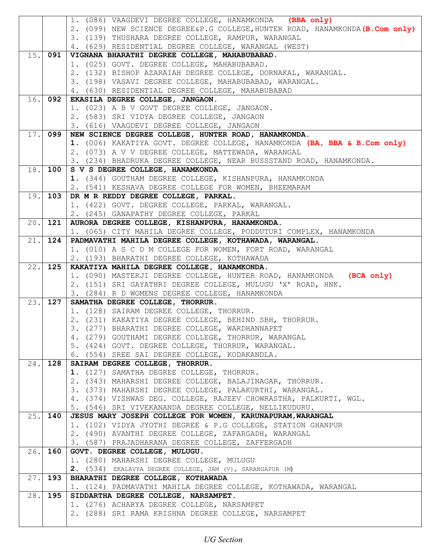|      |         | 1. (086) VAAGDEVI DEGREE COLLEGE, HANAMKONDA (BBA only)                                               |
|------|---------|-------------------------------------------------------------------------------------------------------|
|      |         | 2. (099) NEW SCIENCE DEGREE&P.G COLLEGE, HUNTER ROAD, HANAMKONDA (B.Com only)                         |
|      |         | 3. (139) THUSHARA DEGREE COLLEGE, RAMPUR, WARANGAL                                                    |
|      |         | 4. (629) RESIDENTIAL DEGREE COLLEGE, WARANGAL (WEST)                                                  |
| 15.  | 091     | VIGNANA BHARATHI DEGREE COLLEGE, MAHABUBABAD.                                                         |
|      |         | 1. (025) GOVT. DEGREE COLLEGE, MAHABUBABAD.                                                           |
|      |         | 2. (132) BISHOP AZARAIAH DEGREE COLLEGE, DORNAKAL, WARANGAL.                                          |
|      |         | 3. (198) VASAVI DEGREE COLLEGE, MAHABUBABAD, WARANGAL.                                                |
|      |         | 4. (630) RESIDENTIAL DEGREE COLLEGE, MAHABUBABAD                                                      |
| 16.  | 092     | EKASILA DEGREE COLLEGE, JANGAON.                                                                      |
|      |         | 1. (023) A B V GOVT DEGREE COLLEGE, JANGAON.                                                          |
|      |         |                                                                                                       |
|      |         | 2. (583) SRI VIDYA DEGREE COLLEGE, JANGAON                                                            |
|      |         | 3. (616) VAAGDEVI DEGREE COLLEGE, JANGAON                                                             |
|      | 17. 099 | NEW SCIENCE DEGREE COLLEGE, HUNTER ROAD, HANAMKONDA.                                                  |
|      |         | 1. (006) KAKATIYA GOVT. DEGREE COLLEGE, HANAMKONDA (BA, BBA & B.Com only)                             |
|      |         | 2. (073) A V V DEGREE COLLEGE, MATTEWADA, WARANGAL                                                    |
|      |         | 3. (234) BHADRUKA DEGREE COLLEGE, NEAR BUSSSTAND ROAD, HANAMKONDA.                                    |
|      | 18.100  | S V S DEGREE COLLEGE, HANAMKONDA                                                                      |
|      |         | 1. (344) GOUTHAM DEGREE COLLEGE, KISHANPURA, HANAMKONDA                                               |
|      |         | 2. (541) KESHAVA DEGREE COLLEGE FOR WOMEN, BHEEMARAM                                                  |
| 19.  | 103     | DR M R REDDY DEGREE COLLEGE, PARKAL.                                                                  |
|      |         | 1. (422) GOVT. DEGREE COLLEGE, PARKAL, WARANGAL.                                                      |
|      |         | 2. (245) GANAPATHY DEGREE COLLEGE, PARKAL                                                             |
| 20.  | 121     | AURORA DEGREE COLLEGE, KISHANPURA, HANAMKONDA.                                                        |
|      |         | 1. (065) CITY MAHILA DEGREE COLLEGE, PODDUTURI COMPLEX, HANAMKONDA                                    |
| 21.  | 124     | PADMAVATHI MAHILA DEGREE COLLEGE, KOTHAWADA, WARANGAL.                                                |
|      |         | 1. (010) A S C D M COLLEGE FOR WOMEN, FORT ROAD, WARANGAL                                             |
|      |         | 2. (193) BHARATHI DEGREE COLLEGE, KOTHAWADA                                                           |
| 22.1 | 125     | KAKATIYA MAHILA DEGREE COLLEGE, HANAMKONDA.                                                           |
|      |         | 1. (090) MASTERJI DEGREE COLLEGE, HUNTER ROAD, HANAMKONDA (BCA only)                                  |
|      |         |                                                                                                       |
|      |         | 2. (151) SRI GAYATHRI DEGREE COLLEGE, MULUGU 'X' ROAD, HNK.                                           |
|      |         | 3. (284) R D WOMENS DEGREE COLLEGE, HANAMKONDA                                                        |
| 23.  | 127     | SAMATHA DEGREE COLLEGE, THORRUR.                                                                      |
|      |         | 1. (128) SAIRAM DEGREE COLLEGE, THORRUR.                                                              |
|      |         | 2. (231) KAKATIYA DEGREE COLLEGE, BEHIND SBH, THORRUR.                                                |
|      |         |                                                                                                       |
|      |         | 3. (277) BHARATHI DEGREE COLLEGE, WARDHANNAPET<br>4. (279) GOUTHAMI DEGREE COLLEGE, THORRUR, WARANGAL |
|      |         |                                                                                                       |
|      |         | 5. (424) GOVT. DEGREE COLLEGE, THORRUR, WARANGAL.                                                     |
|      |         | 6. (554) SREE SAI DEGREE COLLEGE, KODAKANDLA.                                                         |
| 24.  | 128     | SAIRAM DEGREE COLLEGE, THORRUR.                                                                       |
|      |         | 1. (127) SAMATHA DEGREE COLLEGE, THORRUR.                                                             |
|      |         | 2. (343) MAHARSHI DEGREE COLLEGE, BALAJINAGAR, THORRUR.                                               |
|      |         | 3. (373) MAHARSHI DEGREE COLLEGE, PALAKURTHI, WARANGAL.                                               |
|      |         | 4. (374) VISHWAS DEG. COLLEGE, RAJEEV CHOWRASTHA, PALKURTI, WGL.                                      |
|      |         | 5. (546) SRI VIVEKANANDA DEGREE COLLEGE, NELLIKUDURU.                                                 |
| 25.  | 140     | JESUS MARY JOSEPH COLLEGE FOR WOMEN, KARUNAPURAM, WARANGAL                                            |
|      |         | 1. (102) VIDYA JYOTHI DEGREE & P.G COLLEGE, STATION GHANPUR                                           |
|      |         | 2. (490) AVANTHI DEGREE COLLEGE, ZAFARGADH, WARANGAL                                                  |
|      |         | 3. (587) PRAJADHARANA DEGREE COLLEGE, ZAFFERGADH                                                      |
| 26.  | 160     | GOVT. DEGREE COLLEGE, MULUGU.                                                                         |
|      |         | 1. (280) MAHARSHI DEGREE COLLEGE, MULUGU                                                              |
|      |         | 2. (534) EKALAVYA DEGREE COLLEGE, JAM (V), SARANGAPUR (M)                                             |
| 27.  | 193     | BHARATHI DEGREE COLLEGE, KOTHAWADA                                                                    |
|      |         | 1. (124) PADMAVATHI MAHILA DEGREE COLLEGE, KOTHAWADA, WARANGAL                                        |
| 28.  | 195     | SIDDARTHA DEGREE COLLEGE, NARSAMPET.                                                                  |
|      |         | 1. (276) ACHARYA DEGREE COLLEGE, NARSAMPET<br>2. (288) SRI RAMA KRISHNA DEGREE COLLEGE, NARSAMPET     |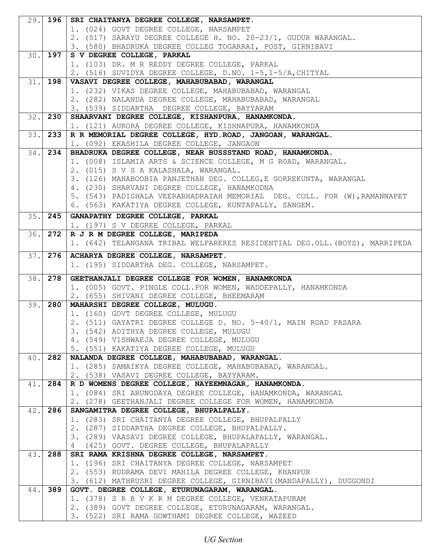| 29.1 | 196        | SRI CHAITANYA DEGREE COLLEGE, NARSAMPET.                                                        |
|------|------------|-------------------------------------------------------------------------------------------------|
|      |            | 1. (024) GOVT DEGREE COLLEGE, NARSAMPET                                                         |
|      |            | 2. (517) SARAYU DEGREE COLLEGE H. NO. 20-23/1, GUDUR WARANGAL.                                  |
|      |            | 3. (580) BHADRUKA DEGREE COLLEG TOGARRAI, POST, GIRNIBAVI                                       |
|      | $30.$ 197  | S V DEGREE COLLEGE, PARKAL                                                                      |
|      |            | 1. (103) DR. M R REDDY DEGREE COLLEGE, PARKAL                                                   |
|      |            | 2. (516) SUVIDYA DEGREE COLLEGE, D.NO. 1-5,1-5/A, CHITYAL                                       |
|      | $31.1$ 198 | VASAVI DEGREE COLLEGE, MAHABUBABAD, WARANGAL                                                    |
|      |            | 1. (232) VIKAS DEGREE COLLEGE, MAHABUBABAD, WARANGAL                                            |
|      |            | 2. (282) NALANDA DEGREE COLLEGE, MAHABUBABAD, WARANGAL                                          |
|      |            | 3. (539) SIDDARTHA DEGREE COLLEGE, BAYYARAM                                                     |
| 32.1 | 230        | SHAARVANI DEGREE COLLEGE, KISHANPURA, HANAMKONDA.                                               |
|      |            | 1. (121) AURORA DEGREE COLLEGE, KISHNAPURA, HANAMKONDA                                          |
| 33.  | 233        | R R MEMORIAL DEGREE COLLEGE, HYD. ROAD, JANGOAN, WARANGAL.                                      |
|      |            | 1. (092) EKASHILA DEGREE COLLEGE, JANGAON                                                       |
| 34.  | 234        | BHADRUKA DEGREE COLLEGE, NEAR BUSSSTAND ROAD, HANAMKONDA.                                       |
|      |            | 1. (008) ISLAMIA ARTS & SCIENCE COLLEGE, M G ROAD, WARANGAL.                                    |
|      |            | 2. (015) S V S A KALASHALA, WARANGAL.                                                           |
|      |            | 3. (126) MAHABOOBIA PANJETHAN DEG. COLLEG, E GORREKUNTA, WARANGAL                               |
|      |            | 4. (230) SHARVANI DEGREE COLLEGE, HANAMKODNA                                                    |
|      |            | 5. (543) PADISHALA VEERABHADRAIAH MEMORIAL DEG. COLL. FOR (W), RAMANNAPET                       |
|      |            | 6. (563) KAKATIYA DEGREE COLLEGE, KUNTAPALLY, SANGEM.                                           |
|      | $35.$ 245  | GANAPATHY DEGREE COLLEGE, PARKAL                                                                |
|      |            | 1. (197) S V DEGREE COLLEGE, PARKAL                                                             |
| 36.1 | 272        | R J R M DEGREE COLLEGE, MARIPEDA                                                                |
|      |            | 1. (642) TELANGANA TRIBAL WELFARERES RESIDENTIAL DEG.OLL. (BOYS), MARRIPEDA                     |
| 37.  | 276        | ACHARYA DEGREE COLLEGE, NARSAMPET.                                                              |
|      |            | 1. (195) SIDDARTHA DEG. COLLEGE, NARSAMPET.                                                     |
|      |            |                                                                                                 |
|      |            |                                                                                                 |
| 38.  | 278        | GEETHANJALI DEGREE COLLEGE FOR WOMEN, HANAMKONDA                                                |
|      |            | 1. (005) GOVT. PINGLE COLL. FOR WOMEN, WADDEPALLY, HANAMKONDA                                   |
|      |            | 2. (655) SHIVANI DEGREE COLLEGE, BHEEMARAM                                                      |
| 39.  | 280        | MAHARSHI DEGREE COLLEGE, MULUGU.                                                                |
|      |            | 1. (160) GOVT DEGREE COLLEGE, MULUGU                                                            |
|      |            | 2. (511) GAYATRI DEGREE COLLEGE D. NO. 5-40/1, MAIN ROAD PASARA                                 |
|      |            | 3. (542) ADITHYA DEGREE COLLEGE, MULUGU                                                         |
|      |            | 4. (549) VISHWAEJA DEGREE COLLEGE, MULUGU                                                       |
|      |            | 5. (551) KAKATIYA DEGREE COLLEGE, MULUGU                                                        |
| 40.1 | 282        | NALANDA DEGREE COLLEGE, MAHABUBABAD, WARANGAL.                                                  |
|      |            | 1. (285) SAMAIKYA DEGREE COLLEGE, MAHABUBABAD, WARANGAL.                                        |
|      |            | 2. (538) VASAVI DEGREE COLLEGE, BAYYARAM.                                                       |
| 41.  | 284        | R D WOMENS DEGREE COLLEGE, NAYEEMNAGAR, HANAMKONDA.                                             |
|      |            | 1. (084) SRI ARUNODAYA DEGREE COLLEGE, HANAMKONDA, WARANGAL                                     |
|      |            | 2. (278) GEETHANJALI DEGREE COLLEGE FOR WOMEN, HANAMKONDA                                       |
| 42.  | 286        | SANGAMITRA DEGREE COLLEGE, BHUPALPALLY.                                                         |
|      |            | 1. (283) SRI CHAITANYA DEGREE COLLEGE, BHUPALPALLY                                              |
|      |            | 2. (287) SIDDARTHA DEGREE COLLEGE, BHUPALPALLY.                                                 |
|      |            | 3. (289) VAASAVI DEGREE COLLEGE, BHUPALAPALLY, WARANGAL.                                        |
| 43.  | 288        | 4 (425) GOVT. DEGREE COLLEGE, BHUPALAPALLY                                                      |
|      |            | SRI RAMA KRISHNA DEGREE COLLEGE, NARSAMPET.<br>1. (196) SRI CHAITANYA DEGREE COLLEGE, NARSAMPET |
|      |            | 2. (553) RUDRAMA DEVI MAHILA DEGREE COLLEGE, KHANPUR                                            |
|      |            | 3. (612) MATHRUSRI DEGREE COLLEGE, GIRNIBAVI (MANDAPALLY), DUGGONDI                             |
| 44.  | 389        | GOVT. DEGREE COLLEGE, ETURUNAGARAM, WARANGAL.                                                   |
|      |            | 1. (378) S R R V K R M DEGREE COLLEGE, VENKATAPURAM                                             |
|      |            | 2. (389) GOVT DEGREE COLLEGE, ETURUNAGARAM, WARANGAL.                                           |